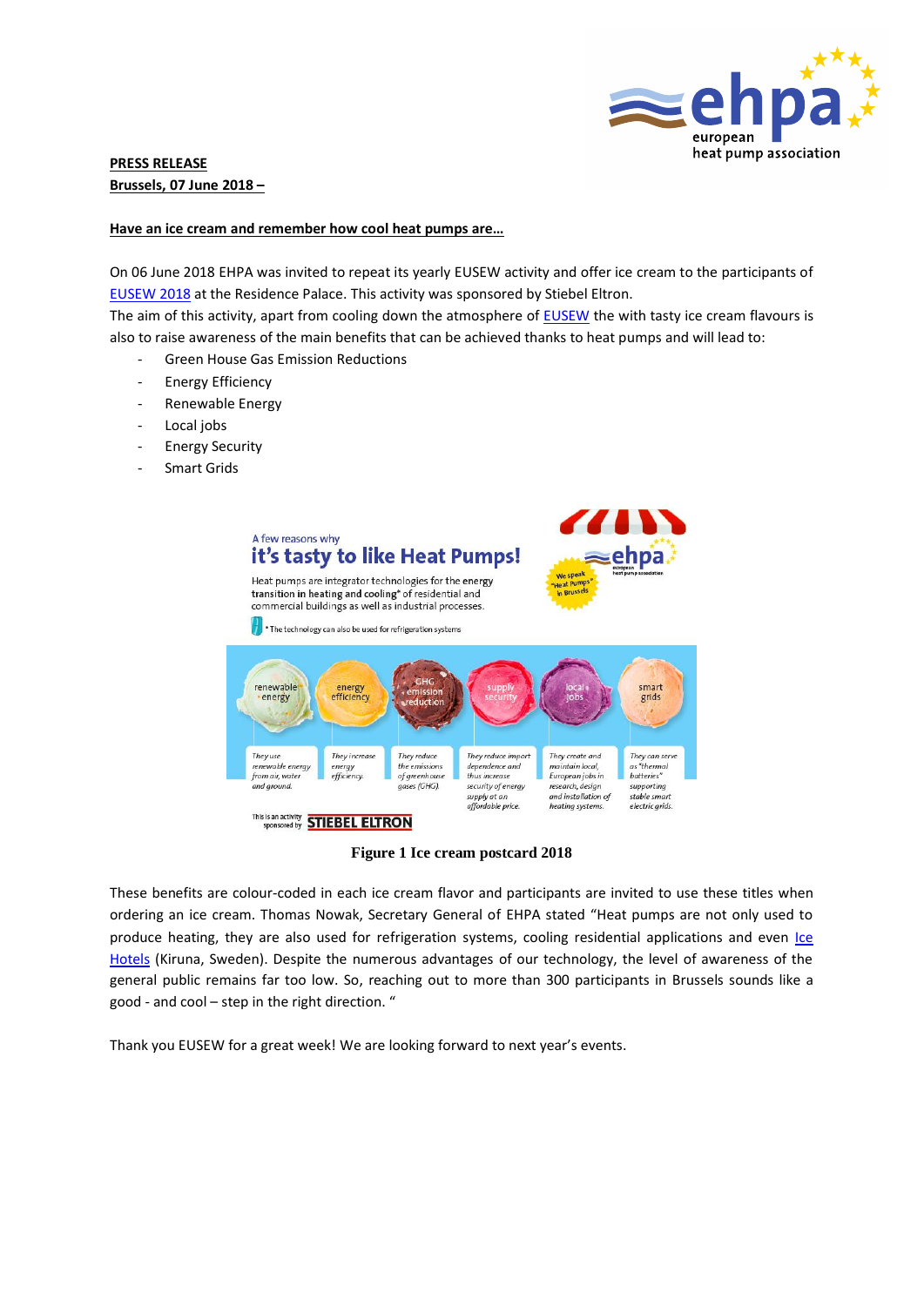

# **PRESS RELEASE Brussels, 07 June 2018 –**

#### **Have an ice cream and remember how cool heat pumps are…**

On 06 June 2018 EHPA was invited to repeat its yearly EUSEW activity and offer ice cream to the participants of [EUSEW 2018](http://www.eusew.eu/) at the Residence Palace. This activity was sponsored by Stiebel Eltron.

The aim of this activity, apart from cooling down the atmosphere of [EUSEW](http://www.eusew.eu/) the with tasty ice cream flavours is also to raise awareness of the main benefits that can be achieved thanks to heat pumps and will lead to:

- Green House Gas Emission Reductions
- Energy Efficiency
- Renewable Energy
- Local jobs
- Energy Security
- Smart Grids



### **Figure 1 Ice cream postcard 2018**

These benefits are colour-coded in each ice cream flavor and participants are invited to use these titles when ordering an ice cream. Thomas Nowak, Secretary General of EHPA stated "Heat pumps are not only used to produce heating, they are also used for refrigeration systems, cooling residential applications and even Ice [Hotels](https://www.icehotel.com/) (Kiruna, Sweden). Despite the numerous advantages of our technology, the level of awareness of the general public remains far too low. So, reaching out to more than 300 participants in Brussels sounds like a good - and cool – step in the right direction. "

Thank you EUSEW for a great week! We are looking forward to next year's events.